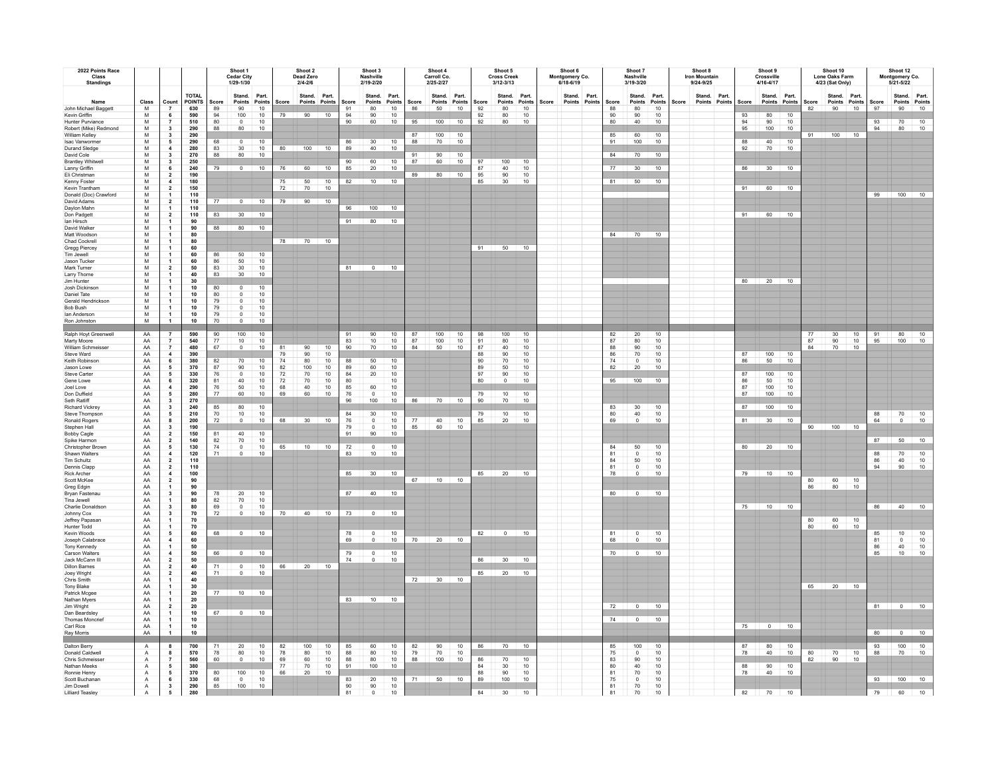| 2022 Points Race<br>Class<br><b>Standings</b>                                                                      |                                                                         |                                                                                                                                                  |                                                                       | Shoot 1<br>Cedar City<br>1/29-1/30       |                                                             |                                                    |                                  | Shoot 2<br>Dead Zero<br>$2/4 - 2/6$       |                              |                                       | Shoot 3<br>Nashville<br>2/19-2/20                     |                                           |                   | Shoot 4<br>Carroll Co.<br>2/25-2/27 |                                    |                                  | Shoot 5<br><b>Cross Creek</b><br>$3/12 - 3/13$          |                                        |       | Shoot 6<br>Montgomery Co.<br>6/18-6/19 |                                          | Shoot 7<br>Nashville<br>3/19-3/20               |                                          |       | Shoot 8<br><b>Iron Mountain</b><br>9/24-9/25 |                            | Shoot 9<br>Crossville<br>4/16-4/17 |                                 |                | Shoot 10<br>Lone Oaks Farm<br>4/23 (Sat Only) |                |                         | Shoot 12<br>Montgomery Co.<br>$5/21 - 5/22$                                                       |                                                               |
|--------------------------------------------------------------------------------------------------------------------|-------------------------------------------------------------------------|--------------------------------------------------------------------------------------------------------------------------------------------------|-----------------------------------------------------------------------|------------------------------------------|-------------------------------------------------------------|----------------------------------------------------|----------------------------------|-------------------------------------------|------------------------------|---------------------------------------|-------------------------------------------------------|-------------------------------------------|-------------------|-------------------------------------|------------------------------------|----------------------------------|---------------------------------------------------------|----------------------------------------|-------|----------------------------------------|------------------------------------------|-------------------------------------------------|------------------------------------------|-------|----------------------------------------------|----------------------------|------------------------------------|---------------------------------|----------------|-----------------------------------------------|----------------|-------------------------|---------------------------------------------------------------------------------------------------|---------------------------------------------------------------|
| Name<br>John Michael Baggett<br>Kevin Griffin<br><b>Hunter Purviance</b><br>Robert (Mike) Redmond                  | Class<br>M<br>M<br>M<br>${\sf M}$                                       | Count<br>6<br>$\scriptstyle\rm 7$<br>$\mathbf{3}$                                                                                                | <b>TOTAL</b><br><b>POINTS</b><br>630<br>590<br>510<br>290             | Score<br>89<br>94<br>80<br>88            | Stand.<br>Points<br>90<br>100<br>$\overline{0}$<br>80       | Part.<br>Points<br>10<br>10<br>10<br>10            | Score<br>79                      | Stand. Part.<br>Points Points Score<br>90 | 10                           | 91<br>94<br>90                        | Stand.<br>Points<br>80<br>$90\,$<br>60                | Part.<br>Points<br>10<br>10<br>10         | Score<br>86<br>95 | Stand. Part.<br>50<br>100           | Points Points<br>10<br>10          | Score<br>92<br>$92\,$<br>92      | Stand.<br>Points<br>80<br>80<br>80                      | Part.<br>Points<br>10<br>$10$<br>10    | Score | Stand. Part.<br>Points Points          | Score<br>88<br>$90\,$<br>80              | Stand.<br>80<br>90<br>40                        | Part.<br>Points Points<br>10<br>10<br>10 | Score | Stand. Part.<br>Points Points                | Score<br>93<br>94<br>95    | Stand. Part.<br>80<br>90<br>100    | Points Points<br>10<br>10<br>10 | Score<br>82    | Stand. Part.<br>Points Points<br>90           | 10             | Score<br>97<br>93<br>94 | Stand. Part.<br>Points Points<br>90<br>$70\,$<br>80                                               | 10<br>$\frac{10}{10}$                                         |
| William Kelley<br>Isac Vanwormer<br><b>Durand Sledge</b><br>David Cole<br><b>Brantley Whitwel</b>                  | M<br>${\sf M}$<br>M<br>M<br>${\sf M}$                                   | $\mathbf{3}$<br>$5\overline{5}$<br>$\overline{4}$<br>$\mathbf{3}$<br>$\mathbf{3}$                                                                | 290<br>290<br>280<br>270<br>250                                       | 68<br>83<br>88                           | $\circ$<br>30<br>80                                         | 10<br>10<br>10                                     | 80                               |                                           | $100$ 10                     | 86<br>89<br>90                        | 30<br>40<br>60                                        | 10<br>10<br>10                            | 88<br>91<br>87    | 100<br>70<br>90<br>60               | 10<br>10<br>10 <sup>10</sup><br>10 | 97                               | 100                                                     | 10                                     |       |                                        | 85<br>91<br>84                           | 60<br>100<br>70                                 | 10<br>10<br>10                           |       |                                              | 88<br>92                   | 40<br>70                           | 10<br>10                        | 91             | $100$ 10                                      |                |                         |                                                                                                   |                                                               |
| Lanny Griffin<br>Eli Christman<br>Kenny Foster<br>Kevin Trantham<br>Donald (Doc) Crawford<br>David Adams           | ${\sf M}$<br>${\sf M}$<br>M<br>${\sf M}$<br>M<br>${\sf M}$              | $\,$ 6<br>$\overline{\mathbf{2}}$<br>$\overline{4}$<br>$\mathbf{2}$<br>$\mathbf{1}$<br>$\overline{\mathbf{2}}$                                   | 240<br>190<br>180<br>150<br>110<br>110                                | 79<br>77                                 | $0 \t 10$<br>$0 \t 10$                                      |                                                    | 76<br>75<br>72                   | 50<br>70<br>79 90 10                      | 60 10<br>10<br>10            | 85<br>82                              | 20<br>10                                              | 10<br>10                                  | 89                | 80                                  | 10                                 | 87<br>95<br>85                   | 40<br>90<br>30                                          | 10<br>$10\,$<br>10                     |       |                                        | 77<br>81                                 | 30<br>50                                        | 10<br>10                                 |       |                                              | 91                         | 86 30 10<br>60                     | 10                              |                |                                               |                |                         | 99 100 10                                                                                         |                                                               |
| Daylon Mahn<br>Don Padgett<br>Ian Hirsch<br>David Walker<br>Matt Woodson<br>Chad Cockrell                          | ${\sf M}$<br>M<br>${\sf M}$<br>M<br>M<br>${\sf M}$                      | $\mathbf{1}$<br>$\mathbf{2}$<br>$\mathbf{1}$<br>$\mathbf{1}$<br>$\mathbf{1}$<br>$\overline{1}$                                                   | 110<br>110<br>90<br>90<br>80<br>${\bf 80}$                            | 83<br>88                                 | 30<br>80                                                    | 10<br>10                                           |                                  | 78 70 10                                  |                              | 91 80                                 | 96 100 10                                             | 10                                        |                   |                                     |                                    |                                  |                                                         |                                        |       |                                        | 84                                       | 70                                              | 10                                       |       |                                              | 91                         | 60 10                              |                                 |                |                                               |                |                         |                                                                                                   |                                                               |
| Gregg Piercey<br>Tim Jewell<br>Jason Tucker<br>Mark Turner<br>Larry Thorne<br>Jim Hunter                           | M<br>${\sf M}$<br>${\sf M}$<br>${\sf M}$<br>${\sf M}$<br>$\overline{M}$ | $\mathbf{1}$<br>$\overline{1}$<br>$\mathbf{1}$<br>$\mathbf{2}$<br>$\mathbf{1}$                                                                   | 60<br>60<br>60<br>50<br>40                                            | 86<br>86<br>83<br>83                     | 50<br>50<br>30<br>$30^{\circ}$                              | 10<br>$10$<br>10<br>10                             |                                  |                                           |                              | 81                                    | $\overline{0}$                                        | 10                                        |                   |                                     |                                    |                                  | 91 50 10                                                |                                        |       |                                        |                                          |                                                 |                                          |       |                                              |                            | 80 20 10                           |                                 |                |                                               |                |                         |                                                                                                   |                                                               |
| Josh Dickinson<br>Daniel Tate<br>Gerald Hendrickson<br>Bob Bush<br>lan Anderson<br>Ron Johnston                    | ${\sf M}$<br>M<br>M<br>M<br>M<br>M                                      | $\mathbf{1}$<br>$\mathbf{1}$<br>$\mathbf{1}$<br>$\mathbf{1}$<br>$\mathbf{1}$<br>$\overline{1}$<br>$\overline{1}$                                 | 30<br>$10\,$<br>$10\,$<br>$10$<br>$10$<br>10<br>10                    | 80<br>80<br>79<br>79<br>79<br>70         | $\circ$<br>$\mathbf 0$<br>$\circ$<br>$^{\circ}$<br>$\Omega$ | 10<br>10<br>10 <sub>1</sub><br>10<br>10<br>10      |                                  |                                           |                              |                                       |                                                       |                                           |                   |                                     |                                    |                                  |                                                         |                                        |       |                                        |                                          |                                                 |                                          |       |                                              |                            |                                    |                                 |                |                                               |                |                         |                                                                                                   |                                                               |
| Ralph Hoyt Greenwell<br>Marty Moore<br>William Schmeisser<br>Steve Ward<br>Keith Robinson<br>Jason Lowe            | AA<br>AA<br>AA<br>AA<br>AA<br>AA                                        | $\overline{7}$<br>$\overline{7}$<br>$\overline{7}$<br>$\overline{4}$<br>$\bf 6$<br>$\sqrt{5}$                                                    | 590<br>540<br>480<br>390<br>380<br>370                                | 90<br>77<br>67<br>82<br>87               | 100<br>10<br>$\mathbf 0$<br>70<br>90                        | $10\,$<br>10<br>10<br>10<br>10                     | 81<br>79<br>74<br>82             | 90<br>90<br>80<br>100                     | 10<br>10<br>$10\,$<br>$10\,$ | 91<br>83<br>90<br>88<br>89            | $90\,$<br>$10$<br>70<br>$\frac{50}{60}$               | $10\,$<br>10<br>10<br>10<br>10            | 87<br>87<br>84    | 100<br>100<br>50                    | 10<br>10<br>10                     | 98<br>91<br>87<br>88<br>90<br>89 | 100<br>80<br>40<br>90<br>70<br>50                       | $10\,$<br>$10$<br>10<br>10<br>10<br>10 |       |                                        | 82<br>87<br>88<br>86<br>74<br>82         | $20\,$<br>80<br>90<br>70<br>$\Omega$<br>20      | 10<br>10<br>10<br>10<br>10<br>10         |       |                                              | 87<br>86                   | 100<br>50                          | 10<br>10                        | 77<br>87<br>84 | 30<br>90<br>70                                | 10<br>10<br>10 | 91<br>95                | 80<br>100                                                                                         | 10<br>10                                                      |
| Steve Carter<br>Gene Lowe<br>Joel Love<br>Don Duffield<br>Seth Ratliff<br><b>Richard Vickrey</b><br>Steve Thompson | AA<br>AA<br>AA<br>AA<br>AA<br>AA<br>AA                                  | ${\bf 5}$<br>$\,$ 6 $\,$<br>$\overline{4}$<br>$\sqrt{5}$<br>$\mathbf{3}$<br>$\mathbf{3}$<br>5                                                    | 330<br>320<br>290<br>280<br>270<br>240<br>210                         | 76<br>81<br>${\bf 76}$<br>77<br>85<br>70 | $\overline{0}$<br>40<br>50<br>60<br>80<br>10                | 10<br>$10\,$<br>10<br>10<br>10<br>10 <sup>10</sup> | ${\bf 72}$<br>$72\,$<br>68<br>69 | $70\,$<br>70<br>40<br>60                  | $\frac{10}{10}$<br>10<br>10  | 84<br>80<br>85<br>76<br>96<br>84      | $20\,$<br>60<br>$\mathbf 0$<br>100<br>30              | 10<br>10<br>10<br>10<br>10<br>10          | 86                | 70                                  | 10                                 | 97<br>80<br>79<br>90<br>79       | $90\,$<br>$\sqrt{2}$<br>$10$<br>$70$<br>10 <sup>1</sup> | $10$<br>10<br>$10$<br>10<br>$10^{-1}$  |       |                                        | 95<br>83<br>80                           | $100$ 10<br>30<br>40                            | 10<br>10                                 |       |                                              | 87<br>86<br>87<br>87<br>87 | 100<br>50<br>100<br>100<br>100     | $10$<br>10<br>$10$<br>10<br>10  |                |                                               |                | 88                      | 70                                                                                                | 10                                                            |
| Ronald Rogers<br>Stephen Hall<br><b>Bobby Cagle</b><br>Spike Harmon<br>Christopher Brown<br>Shawn Walters          | AA<br>AA<br>AA<br>AA<br>AA                                              | 8<br>$\mathbf 3$<br>$\mathbf{2}$<br>$\mathbf{2}$<br>5<br>$\overline{4}$                                                                          | 200<br>190<br>150<br>140<br>130<br>120                                | $72\,$<br>81<br>82<br>74<br>71           | $\Omega$<br>40<br>70<br>$\overline{0}$<br>$\Omega$          | 10<br>10<br>10<br>10<br>10                         | 68<br>65                         | 30 10                                     | 10 10                        | 76<br>$79\,$<br>91<br>$\frac{72}{83}$ | $\mathsf 0$<br>$\mathsf{o}$<br>90<br>$^{\circ}$<br>10 | 10<br>$10$<br>10<br>10<br>10              | 77<br>85          | 40<br>60                            | 10<br>10                           | 85                               | 20                                                      | 10                                     |       |                                        | 69<br>84<br>81                           | $\Omega$<br>50<br>$\Omega$                      | 10<br>10<br>10                           |       |                                              |                            | 81 30 10<br>80 20 10               |                                 |                | 90 100 10                                     |                | 64<br>87<br>88          | $\overline{0}$<br>50<br>70                                                                        | 10<br>10                                                      |
| Tim Schultz<br>Dennis Clapp<br>Rick Archer<br>Scott McKee<br>Grea Edgin<br>Bryan Fastenau                          | AA<br>AA<br>AA<br>AA<br>AA<br>AA<br>AA                                  | $\overline{\mathbf{c}}$<br>$\overline{\mathbf{2}}$<br>$\blacktriangleleft$<br>$\overline{\mathbf{2}}$<br>$\mathbf{1}$<br>$\overline{\mathbf{3}}$ | 110<br>110<br>$100\,$<br>90<br>90<br>90                               | 78                                       | 20                                                          | 10                                                 |                                  |                                           |                              | 85<br>87                              | $30$ 10<br>40                                         | 10                                        |                   | 67 10 10                            |                                    |                                  | 85 20 10                                                |                                        |       |                                        | 84<br>81<br>78<br>80                     | 50<br>$\mathbf 0$<br>$\Omega$<br>$\overline{0}$ | 10<br>10<br>$10$<br>10                   |       |                                              |                            | 79 10 10                           |                                 | 86             | $\frac{60}{80}$                               | 10<br>10       | 86                      | 40<br>90                                                                                          | $\frac{10}{10}$                                               |
| Tina Jewell<br>Charlie Donaldsor<br>Johnny Cox<br>Jeffrey Papasan<br>Hunter Todd<br>Kevin Woods                    | AA<br>AA<br>AA<br>AA<br>AA<br>AA                                        | $\mathbf{1}$<br>$\mathbf{3}$<br>$\mathbf{3}$<br>$\mathbf{1}$<br>$\overline{1}$<br>$\sqrt{5}$                                                     | 80<br>80<br>70<br>70<br>70<br>$\begin{array}{c} 60 \\ 60 \end{array}$ | 82<br>69<br>72<br>68                     | 70<br>$\mathsf 0$<br>$\Omega$<br>$0 \t 10$                  | 10<br>10<br>10                                     |                                  | 70 40 10                                  |                              | 73<br>78                              | $\overline{0}$<br>$\circ$                             | 10<br>10                                  |                   |                                     |                                    |                                  | $82 \t 0 \t 10$                                         |                                        |       |                                        | 81                                       | $\circ$                                         | 10                                       |       |                                              |                            | 75 10 10                           |                                 | 80<br>80       | $\begin{array}{c} 60 \\ 60 \end{array}$       | 10<br>10       | 85                      | 86 40 10<br>10                                                                                    |                                                               |
| Joseph Calabrace<br>Tony Kennedy<br>Carson Walters<br>Jack McCann III<br><b>Dillon Barnes</b><br>Joey Wright       | AA<br>AA<br>AA<br>AA<br>AA<br>AA                                        | $\overline{4}$<br>$\mathbf{1}$<br>$\overline{4}$<br>$\mathbf{2}$<br>$\mathbf{2}$<br>$\mathbf{2}$                                                 | 50<br>50<br>50<br>40<br>40                                            | 66<br>71<br>71                           | $0$ 10<br>$\overline{0}$<br>$\circ$                         | 10<br>10                                           | 66                               | $20 \t 10$                                |                              | 69<br>79<br>74                        | $\Omega$<br>$\mathbf 0$<br>$\mathsf{o}$               | 10<br>10<br>10                            | 70                | $20 \t 10$                          |                                    | 86<br>85                         | $30 \quad 10$<br>20                                     | 10                                     |       |                                        | 68<br>70                                 | $\Omega$<br>$\overline{0}$                      | 10<br>10                                 |       |                                              |                            |                                    |                                 |                |                                               |                | 81<br>86<br>85          | $\overline{0}$<br>40<br>10                                                                        | $\begin{array}{c} 10 \\ 10 \\ 10 \\ 10 \\ \hline \end{array}$ |
| Chris Smith<br>Tony Blake<br>Patrick Mcgee<br>Nathan Myers<br>Jim Wright<br>Dan Beardsley<br><b>Thomas Moncrie</b> | AA<br>AA<br>AA<br>AA<br>AA<br>AA<br>AA                                  | $\mathbf{1}$<br>$\mathbf{1}$<br>$\mathbf{1}$<br>$\overline{1}$<br>$\mathbf{2}$<br>$\mathbf{1}$<br>$\overline{1}$                                 | 40<br>30<br>${\bf 20}$<br>20<br>20<br>10<br>10                        | 77<br>67                                 | $10$ $10$<br>$\overline{0}$                                 | 10                                                 |                                  |                                           |                              |                                       | 83 10 10                                              |                                           |                   | 72 30 10                            |                                    |                                  |                                                         |                                        |       |                                        | 72<br>74                                 | $\overline{0}$<br>$\Omega$                      | 10<br>10                                 |       |                                              |                            |                                    |                                 |                | 65 20 10                                      |                | 81                      | $\overline{\phantom{0}}$                                                                          | 10                                                            |
| Carl Rice<br>Ray Morris<br>Dalton Berry<br>Donald Caldwel                                                          | AA<br>AA<br>$\mathsf{A}$<br>$\mathsf{A}$                                | $\mathbf{1}$<br>$\overline{1}$<br>8                                                                                                              | 10<br>10<br>700<br>570                                                | 78                                       | 20<br>80                                                    | 10<br>10                                           | 82<br>78                         | 100<br>80                                 | 10<br>10                     | 85<br>88                              | 60<br>$_{\rm 80}$                                     | 10<br>10                                  | 82<br>79          | 90<br>70                            | 10<br>10                           | 86                               | 70                                                      | 10                                     |       |                                        | 85<br>75                                 | 100<br>$\overline{0}$                           | 10<br>10                                 |       |                                              | 87<br>78                   | 75 0 10<br>80<br>40                | 10<br>10                        | 80             | 70                                            | 10             | 93<br>88                | 80 0 10<br>100<br>70                                                                              | 10<br>10                                                      |
| Chris Schmeisser<br>Nathan Meeks<br>Ronnie Henry<br>Scott Buchanan<br>Jim Dowell<br><b>Lilliard Teasley</b>        | $\overline{A}$<br>$\mathsf A$<br>A<br>$\,$ A<br>$\frac{A}{A}$           | $\overline{7}$<br>${\bf 5}$<br>5<br>$\bf 6$<br>$\frac{3}{5}$                                                                                     | 560<br>380<br>370<br>330<br>290<br>280                                | 60<br>80<br>68<br>85                     | $\Omega$<br>100<br>$\overline{0}$<br>100                    | 10 <sup>10</sup><br>10<br>10<br>10                 | 69<br>77<br>66                   | 60<br>70<br>20                            | 10<br>10<br>10               | 88<br>91<br>83<br>90<br>81            | 80<br>100<br>$20\,$<br>90<br>$\mathbf 0$              | 10<br>10 <sup>1</sup><br>$10$<br>10<br>10 | 88<br>71          | 100                                 | 10<br>50 10                        | 86<br>84<br>89<br>84             | 70<br>30<br>90<br>100<br>30                             | 10<br>$10\,$<br>$10$<br>10<br>10       |       |                                        | 83<br>$80\,$<br>81<br>$75\,$<br>81<br>81 | 90<br>40<br>70<br>$\overline{0}$<br>70<br>70    | 10<br>10<br>10<br>$10$<br>10<br>10       |       |                                              | 88<br>78<br>82             | 90<br>40<br>70                     | 10<br>10<br>10                  | 82             | 90                                            | 10             | 93<br>79                | $\begin{array}{ c c c c c } \hline \quad \text{100} & \quad \text{10} \\\hline \end{array}$<br>60 | 10                                                            |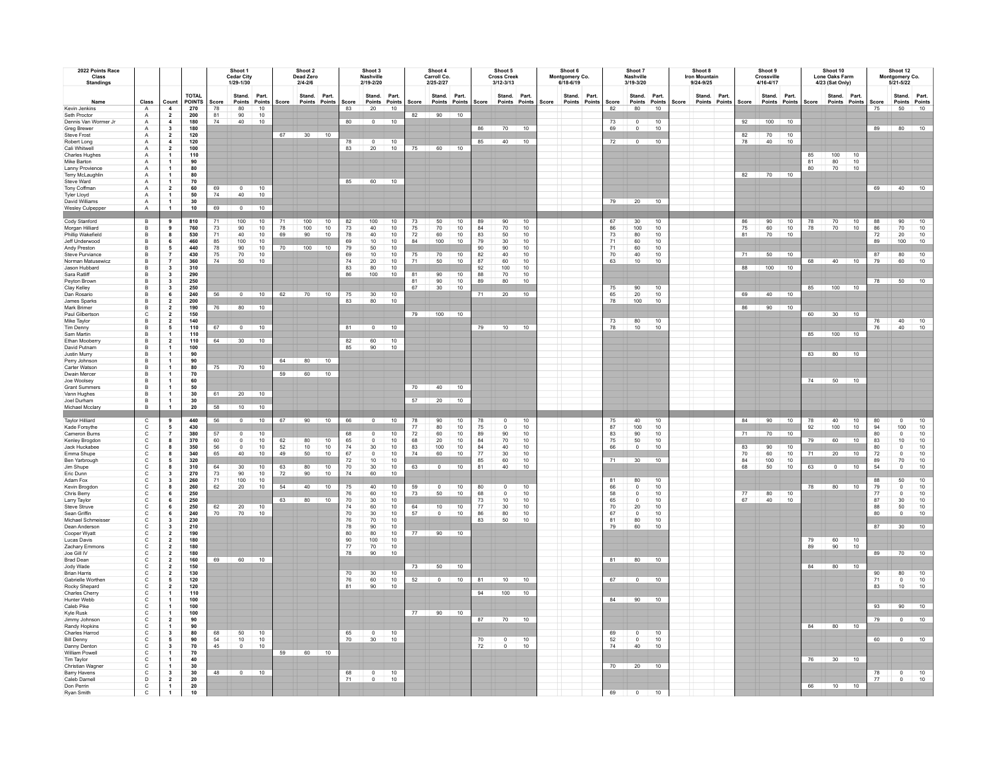| 2022 Points Race<br>Class<br><b>Standings</b>                                                                |                                                                 |                                                                                                                             |                                             | Shoot 1<br>Cedar City<br>1/29-1/30 |                                                                                                      |                             |                | Shoot 2<br>Dead Zero<br>$2/4 - 2/6$ |                |                                        | Shoot 3<br>Nashville<br>2/19-2/20                       |                                     |                                  | Shoot 4<br>Carroll Co.<br>2/25-2/27       |                                   |                                                           | Shoot 5<br><b>Cross Creek</b><br>$3/12 - 3/13$ |                                        |       | Shoot 6<br>Montgomery Co.<br>6/18-6/19 |                              | Shoot 7<br>Nashville<br>3/19-3/20           |                              |       | Shoot 8<br><b>Iron Mountain</b><br>$9/24 - 9/25$ |                      | Shoot 9<br>Crossville<br>4/16-4/17 |                       |                | Shoot 10<br>Lone Oaks Farm<br>4/23 (Sat Only) |                     |                                             | Shoot 12<br>Montgomery Co.<br>5/21-5/22                              |                                                           |
|--------------------------------------------------------------------------------------------------------------|-----------------------------------------------------------------|-----------------------------------------------------------------------------------------------------------------------------|---------------------------------------------|------------------------------------|------------------------------------------------------------------------------------------------------|-----------------------------|----------------|-------------------------------------|----------------|----------------------------------------|---------------------------------------------------------|-------------------------------------|----------------------------------|-------------------------------------------|-----------------------------------|-----------------------------------------------------------|------------------------------------------------|----------------------------------------|-------|----------------------------------------|------------------------------|---------------------------------------------|------------------------------|-------|--------------------------------------------------|----------------------|------------------------------------|-----------------------|----------------|-----------------------------------------------|---------------------|---------------------------------------------|----------------------------------------------------------------------|-----------------------------------------------------------|
| Name<br>Kevin Jenkins<br>Seth Proctor                                                                        | Class<br>$\mathsf{A}$                                           | Count<br>$\overline{4}$                                                                                                     | <b>TOTAL</b><br><b>POINTS</b><br>270<br>200 | Score<br>78<br>81                  | Stand.<br>Points<br>80<br>90                                                                         | Part.<br>Points<br>10       | Score          | Stand. Part.<br>Points Points       |                | Score<br>83                            | 20                                                      | Stand. Part.<br>Points Points<br>10 | Score<br>82                      | Stand. Part.<br>Points Points Score<br>90 | 10                                |                                                           | Stand. Part.<br>Points Points                  |                                        | Score | Stand. Part.<br>Points Points          | Score<br>82                  | Stand. Part.<br>80                          | Points Points<br>10          | Score | Stand. Part.<br>Points Points                    | Score                | Stand. Part.<br>Points Points      |                       | Score          | Stand. Part.<br>Points Points                 |                     | Score<br>75                                 | Stand. Part.<br>Points Points<br>50                                  | 10                                                        |
| Dennis Van Wormer .Ir<br>Greg Brewer<br>Steve Frost<br>Robert Long                                           | $\mathsf{A}$<br>$\overline{A}$<br>$\overline{A}$<br>A<br>$\,$ A | $\overline{\mathbf{2}}$<br>$\overline{4}$<br>$\mathbf{3}$<br>$\overline{\mathbf{2}}$<br>$\blacktriangleleft$                | 180<br>180<br>120<br>120                    | 74                                 | 40                                                                                                   | $\frac{10}{10}$             |                | 67 30 10                            |                | 80<br>78<br>83                         | $\Omega$<br>$\mathbf 0$<br>20                           | 10 <sup>1</sup><br>10<br>10         | 75                               | 60 10                                     |                                   | 85                                                        | 86 70 10<br>$40$ 10                            |                                        |       |                                        | 73<br>69<br>72               | $\circ$<br>$\Omega$<br>$\overline{0}$       | 10<br>10<br>10               |       |                                                  | 92<br>82<br>78       | $100$ 10<br>70<br>40               | 10<br>10              |                |                                               |                     |                                             | 89 80 10                                                             |                                                           |
| Cali Whitwell<br><b>Charles Hughes</b><br>Mike Barton<br>Lanny Provience<br>Terry McLaughlin                 | A<br>$\,$ A<br>A<br>$\mathsf{A}$<br>$\overline{A}$              | $\overline{\mathbf{2}}$<br>$\overline{1}$<br>$\mathbf{1}$<br>$\mathbf{1}$<br>$\mathbf{1}$                                   | 100<br>110<br>90<br>80<br>80                |                                    |                                                                                                      |                             |                |                                     |                |                                        |                                                         |                                     |                                  |                                           |                                   |                                                           |                                                |                                        |       |                                        |                              |                                             |                              |       |                                                  |                      | 82 70 10                           |                       | 85<br>81<br>80 | 100<br>$\frac{80}{70}$                        | 10<br>10<br>10      |                                             |                                                                      |                                                           |
| Steve Ward<br>Tony Coffman<br><b>Tyler Lloyd</b><br>David Williams<br>Wesley Culpepper                       | A<br>$\,$ A<br>$\overline{A}$<br>$\mathsf{A}$<br>$\overline{A}$ | $\overline{1}$<br>$\overline{\mathbf{z}}$<br>$\overline{1}$<br>$\mathbf{1}$<br>$\mathbf{1}$                                 | 70<br>60<br>50<br>30<br>10                  | 69<br>74<br>69                     | $\mathbf{0}$<br>40<br>$\Omega$                                                                       | 10<br>10<br>10              |                |                                     |                | 85                                     |                                                         | 60 10                               |                                  |                                           |                                   |                                                           |                                                |                                        |       |                                        | 79                           | 20                                          | $\overline{10}$              |       |                                                  |                      |                                    |                       |                |                                               |                     | 69                                          | 40 10                                                                |                                                           |
| Cody Stanford<br>Morgan Hilliard<br>Phillip Wakefield<br>Jeff Underwood                                      | $\frac{B}{B}$<br>$\,$ B<br>B                                    | 9<br>8<br>6                                                                                                                 | 810<br>760<br>530<br>460                    | 73<br>71                           | 100<br>90<br>40<br>100                                                                               | 10<br>$10$<br>10<br>10      | 71<br>78<br>69 | 100<br>100<br>90                    | 10<br>10<br>10 | 82<br>$73\,$<br>78<br>69               | 100<br>40<br>40<br>$10$                                 | $10$<br>10<br>10<br>10              | 73<br>75<br>$72\,$<br>84         | 50<br>70<br>60<br>100                     | 10<br>10<br>10 <sub>1</sub><br>10 | 89<br>84<br>83<br>79                                      | 90<br>70<br>50<br>30                           | 10<br>10<br>10<br>10                   |       |                                        | 67<br>86<br>$73\,$<br>71     | 30<br>100<br>80<br>60                       | 10<br>10<br>10<br>10         |       |                                                  | 86<br>75<br>81       | 90<br>60<br>70                     | 10<br>$10$<br>10      | 78<br>78       | 70<br>70                                      | 10<br>10            | 88<br>86<br>72<br>89                        | 90<br>70<br>$20\,$<br>100                                            | 10<br>$10$<br>10<br>10                                    |
| Andy Preston<br><b>Steve Purviance</b><br>Norman Matusewicz<br>Jason Hubbard<br>Sara Ratliff                 | B<br>в<br>B<br>B<br>B                                           | $\frac{5}{7}$<br>$\scriptstyle\rm 7$<br>$\overline{\mathbf{3}}$<br>$\overline{\mathbf{3}}$                                  | 440<br>430<br>360<br>310<br>290             | 85<br>78<br>75<br>74               | 90<br>70<br>50                                                                                       | 10<br>10<br>10 <sub>1</sub> | 70             | 100                                 | 10             | 79<br>69<br>74<br>83<br>86             | 50<br>10<br>20<br>80<br>100                             | 10<br>10<br>10<br>10<br>$10$        | 75<br>71<br>81                   | 70<br>50<br>90                            | $\frac{10}{10}$<br>10             | $\begin{array}{c} 90 \\ 82 \\ 87 \end{array}$<br>92<br>88 | 90<br>40<br>$_{\rm 60}$<br>100<br>70           | 10<br>$10$<br>10<br>10<br>$10$         |       |                                        | 71<br>$\frac{70}{63}$        | 60<br>40<br>10                              | 10<br>10<br>10               |       |                                                  | 71<br>88             | 50<br>$100$ 10                     | 10                    | 68             | 40                                            | 10                  | $\frac{87}{79}$                             | 80<br>60                                                             | $\begin{array}{c} 10 \\ 10 \end{array}$                   |
| Peyton Brown<br>Clay Kelley<br>Dan Rosario<br>James Sparks                                                   | $\,$ B<br>B<br>в<br>B                                           | $\overline{\mathbf{3}}$<br>$\mathbf{3}$<br>$6\phantom{a}$<br>$\mathbf{2}$                                                   | 250<br>250<br>240<br>200                    | 56                                 | $\overline{0}$                                                                                       | 10                          | 62             | 70 10                               |                | 75<br>83                               | 30<br>80                                                | 10<br>10                            | 81<br>67                         | 90<br>30                                  | 10<br>10                          | 89<br>71                                                  | 80<br>20                                       | 10<br>10                               |       |                                        | 75<br>65<br>$78\,$           | 90<br>20<br>100                             | 10<br>10<br>10               |       |                                                  | 69                   | 40 10                              | 10                    | 85             | $100$ 10                                      |                     | 78                                          | 50                                                                   | 10                                                        |
| Mark Brimer<br>Paul Gilbertson<br>Mike Taylor<br><b>Tim Denny</b><br>Sam Martin                              | B<br>$\mathsf{C}$<br>B<br>B<br>в                                | $\overline{\mathbf{2}}$<br>$\overline{2}$<br>$\overline{2}$<br>$\overline{\phantom{a}}$<br>$\overline{\mathbf{1}}$          | 190<br>150<br>140<br>110<br>110             | 76<br>67                           | 80<br>$\circ$                                                                                        | 10<br>10                    |                |                                     |                | 81                                     | $\overline{0}$                                          | 10                                  | 79                               | $100$ 10                                  |                                   | 79                                                        | 10                                             | 10                                     |       |                                        | 73<br>78                     | $\begin{array}{c} 80 \\ 10 \end{array}$     | 10<br>10                     |       |                                                  | 86                   | 90                                 |                       | 60<br>85       | $30 \t 10$<br>100                             | 10                  | 76<br>76                                    | 40<br>40                                                             | $\frac{10}{10}$                                           |
| Ethan Moobern<br>David Putnam<br>Justin Murry<br>Perry Johnson<br>Carter Watson                              | B<br>B<br>B<br>B<br>B                                           | $\overline{2}$<br>$\overline{1}$<br>$\mathbf{1}$<br>-1<br>$\mathbf{1}$                                                      | 110<br>100<br>90<br>90<br>80                | 64<br>75                           | 30 <sup>1</sup><br>70                                                                                | 10<br>10                    | 64             | 80                                  | 10             | 82<br>85                               | $\frac{60}{90}$                                         | 10<br>10                            |                                  |                                           |                                   |                                                           |                                                |                                        |       |                                        |                              |                                             |                              |       |                                                  |                      |                                    |                       | 83             | 80                                            | 10                  |                                             |                                                                      |                                                           |
| Dwain Mercer<br>Joe Woolsey<br>Grant Summer<br>Vann Hughes<br>Joel Durham                                    | $\overline{B}$<br>$\overline{B}$<br>B<br>B<br>B                 | $\overline{1}$<br>$\mathbf{1}$<br>$\mathbf{1}$<br>$\mathbf{1}$                                                              | 70<br>60<br>50<br>30<br>30                  | 61                                 | 20 10                                                                                                |                             | 59             | 60                                  | 10             |                                        |                                                         |                                     | 70<br>57                         | $40 \quad 10$<br>20                       | 10                                |                                                           |                                                |                                        |       |                                        |                              |                                             |                              |       |                                                  |                      |                                    |                       |                | 74 50 10                                      |                     |                                             |                                                                      |                                                           |
| Michael Mcclary<br><b>Taylor Hilliard</b>                                                                    | $\,$ B                                                          | $\overline{1}$<br>9                                                                                                         | 20<br>440                                   | 58<br>56                           | 10<br>$\Omega$                                                                                       | 10<br>10 <sup>1</sup>       | 67             | 90                                  | 10             | 66                                     | $\Omega$                                                | 10 <sup>1</sup>                     | 78                               | 90                                        | 10                                | 78                                                        | $^{\circ}$                                     | 10 <sup>1</sup>                        |       |                                        | 75                           | 40                                          | 10 <sup>1</sup>              |       |                                                  | 84                   | 90                                 | 10                    | 78             | 40 <sup>°</sup>                               | 10                  | 80                                          | $^{\circ}$                                                           | 10                                                        |
| Kade Forsythe<br>Cameron Burns<br>Kenley Brogdon<br>Jack Huckabee<br>Emma Shupe<br>Ben Yarbrough             | $\frac{c}{c}$<br>$\mathbf c$<br>$\mathbf{C}$<br>ooooo           | 5<br>$\overline{7}$<br>$\bf{8}$<br>8<br>8<br>$\sqrt{5}$                                                                     | 430<br>380<br>370<br>350<br>340<br>320      | 57<br>60<br>56<br>65               | $\mathbf 0$<br>$\mathsf 0$<br>$^{\circ}$<br>40                                                       | 10<br>10<br>10<br>10        | 62<br>52<br>49 | 80<br>10<br>50                      | 10<br>10<br>10 | 68<br>65<br>74<br>67<br>72             | $^{\circ}$<br>$\mathbf 0$<br>30<br>$^{\circ}$<br>$10\,$ | $10$<br>10<br>10<br>10<br>10        | 77<br>$\bf 72$<br>68<br>83<br>74 | 80<br>60<br>20<br>100<br>60               | 10<br>$10$<br>10<br>10<br>10      | 75<br>89<br>84<br>$rac{84}{77}$<br>$\frac{85}{81}$        | $\Omega$<br>$90\,$<br>$70\,$<br>40<br>30<br>60 | 10<br>$10$<br>10<br>10<br>10<br>$10\,$ |       |                                        | 87<br>83<br>75<br>66<br>71   | 100<br>$90\,$<br>50<br>$\overline{0}$<br>30 | 10<br>$10$<br>10<br>10<br>10 |       |                                                  | 71<br>83<br>70<br>84 | 70<br>90<br>60<br>100              | 10<br>10<br>10<br>10  | 92<br>79<br>71 | 100<br>60<br>20                               | 10<br>$10-10$<br>10 | 94<br>80<br>83<br>80<br>72<br>$rac{89}{54}$ | 100<br>$^{\circ}$<br>10<br>$\Omega$<br>$^{\circ}$<br>70              | 10<br>10<br>10<br>$10$<br>$\frac{10}{10}$                 |
| Jim Shupe<br>Eric Dunn<br>Adam Fox<br>Kevin Brogdor<br>Chris Berry                                           |                                                                 | 8<br>$\mathbf{3}$<br>$\overline{\mathbf{3}}$<br>$\bf{8}$<br>6                                                               | 310<br>270<br>260<br>260<br>250             | 64<br>73<br>71<br>62               | 30<br>90<br>100<br>20                                                                                | 10<br>$10\,$<br>$10$<br>10  | 63<br>72<br>54 | 80<br>90<br>40                      | 10<br>10<br>10 | 70<br>74<br>75<br>76                   | $30\,$<br>60<br>40<br>60                                | 10<br>10<br>$10$<br>10              | 63<br>59<br>$73\,$               | $\sim$<br>$\mathsf 0$<br>50               | 10<br>10<br>10                    | 80<br>68                                                  | 40<br>$\mathsf 0$<br>$\Omega$                  | 10<br>10<br>$10$                       |       |                                        | 81<br>66<br>58               | 80<br>$\mathbf 0$<br>$\mathbf 0$            | 10<br>10<br>10               |       |                                                  | 6 <sub>R</sub><br>77 | 50<br>80                           | 10 <sub>1</sub><br>10 | 63<br>78       | $\overline{0}$<br>80                          | 10<br>10            | 88<br>79<br>$77\,$                          | $\Omega$<br>50<br>$\circ$                                            | 10<br>$\begin{array}{c} 10 \\ 10 \\ 10 \\ 10 \end{array}$ |
| Larry Taylor<br><b>Steve Struve</b><br>Sean Griffin<br>Michael Schmeisse<br>Dean Anderson                    | $\frac{c}{c}$<br>$\mathsf{C}$<br>$\mathbf{C}$<br>$\mathsf{C}$   | 6<br>$\,$ 6<br>$\,$ 6<br>$\overline{\mathbf{3}}$<br>$\mathbf{3}$                                                            | 250<br>250<br>240<br>230<br>210             | 62<br>70                           | 20<br>70                                                                                             | 10<br>10                    | 63             | 80                                  | 10             | 70<br>74<br>$70\,$<br>${\bf 76}$<br>78 | 30<br>60<br>$30\,$<br>$70\,$<br>90                      | 10<br>$10$<br>$10$<br>$10$<br>$10$  | 64<br>57                         | 10<br>$\mathbf 0$                         | 10 <sup>1</sup><br>10             | 73<br>77<br>86<br>83                                      | 10<br>$30\,$<br>80<br>50                       | 10<br>$10\,$<br>10<br>10               |       |                                        | 65<br>$70$<br>67<br>81<br>79 | $\circ$<br>20<br>$\mathbf 0$<br>80<br>60    | 10<br>10<br>10<br>$10$<br>10 |       |                                                  | 67                   | 40                                 | 10                    |                |                                               |                     | 87<br>88<br>80<br>87                        | 30<br>50<br>$\overline{0}$<br>30                                     | $10$<br>10                                                |
| Cooper Wyatt<br>Lucas Davis<br>Zachary Emmons<br>Joe Gill IV                                                 | 0000                                                            | $\overline{2}$<br>$\,$ 2<br>$\overline{\mathbf{z}}$<br>$\mathbf{2}$                                                         | 190<br>180<br>180<br>180                    | 69                                 |                                                                                                      |                             |                |                                     |                | 80<br>90<br>77<br>78                   | 80<br>100<br>70<br>90                                   | 10<br>10<br>10<br>10                | 77                               | $90 \t 10$                                |                                   |                                                           |                                                |                                        |       |                                        | 81                           |                                             |                              |       |                                                  |                      |                                    |                       | 79<br>89       | $\frac{60}{90}$                               | $\frac{10}{10}$     | 89                                          | 70 10                                                                |                                                           |
| <b>Brad Dean</b><br>Jody Wade<br><b>Brian Harris</b><br>Gabrielle Worther<br>Rocky Shepard<br>Charles Cherry | $\mathbf c$<br>$_{\rm c}^{\rm c}$<br>$\frac{c}{c}$              | $\overline{\mathbf{2}}$<br>$\mathbf{2}$<br>$\overline{\mathbf{2}}$<br>$\sqrt{5}$<br>$\overline{\mathbf{2}}$<br>$\mathbf{1}$ | 160<br>150<br>130<br>120<br>120<br>110      |                                    | 60 10                                                                                                |                             |                |                                     |                | 70<br>76<br>81                         | 30<br>60<br>90                                          | 10<br>10<br>10                      | 73<br>52                         | $50$ 10<br>$\overline{0}$                 | 10                                | 81                                                        | 10<br>94 100 10                                | 10                                     |       |                                        | 67                           | 80 10<br>$\overline{0}$                     | 10                           |       |                                                  |                      |                                    |                       | 84             | 80 10                                         |                     | 71<br>83                                    | 80<br>$\Omega$<br>10                                                 | 10<br>10<br>10                                            |
| Hunter Webb<br>Caleb Pike<br>Kyle Rusk<br>Jimmy Johnson<br>Randy Hopkins                                     | $\mathbf{C}$<br>$\mathsf{C}$<br>0000                            | $\mathbf{1}$<br>$\mathbf{1}$<br>$\overline{\mathbf{2}}$<br>$\overline{1}$                                                   | 100<br>100<br>100<br>90<br>90               |                                    |                                                                                                      |                             |                |                                     |                |                                        |                                                         |                                     | 77                               | $90 \t 10$                                |                                   | 87                                                        |                                                | 70 10                                  |       |                                        |                              | 84 90 10                                    |                              |       |                                                  |                      |                                    |                       |                | 84 80 10                                      |                     | 93<br>79                                    | 90<br>$\mathbf{0}$                                                   | 10<br>10                                                  |
| Charles Harrod<br><b>Bill Denny</b><br>Danny Denton<br>William Powell                                        | $\mathbf C$<br>$\mathbf C$<br>$\mathtt{C}$                      | $\mathbf{3}$<br>5<br>$\mathbf{3}$<br>$\overline{1}$                                                                         | 80<br>90<br>70<br>70<br>40                  | 68<br>$\frac{54}{45}$              | 50<br>$10\,$<br>$\circ$                                                                              | 10<br>$10\,$<br>10          | 59             | 60 10                               |                | 65<br>70                               | 30 <sup>2</sup>                                         | $0$ 10<br>10                        |                                  |                                           |                                   | 70<br>72                                                  | $\begin{array}{c} 0 \\ 0 \end{array}$          | 10<br>10                               |       |                                        | 69<br>$52\,$<br>74           | 0<br>$\mathbf 0$<br>40                      | 10<br>$10\,$<br>10           |       |                                                  |                      |                                    |                       |                |                                               |                     | 60                                          | $\begin{array}{ c c c c c } \hline \text{O} & \text{10} \end{array}$ |                                                           |
| Tim Taylor<br>Christian Wagne<br><b>Barry Havens</b><br>Caleb Darnell<br>Don Perrin<br>Ryan Smith            | $\mathbf{C}$<br>$\mathbf c$<br>D<br>C<br>$\mathbf{C}$           | $\mathbf{1}$<br>$\mathbf{1}$<br>$\mathbf{3}$<br>$\overline{\mathbf{z}}$<br>$\overline{1}$                                   | 30<br>30<br>20<br>${\bf 20}$<br>10          | 48                                 | $\begin{array}{ c c c c c c } \hline \multicolumn{1}{ c }{0} & \multicolumn{1}{ c }{10} \end{array}$ |                             |                |                                     |                | $\frac{68}{71}$                        | $\frac{0}{0}$                                           | $\frac{10}{10}$                     |                                  |                                           |                                   |                                                           |                                                |                                        |       |                                        | 70<br>69                     | 20<br>$\mathbf 0$                           | 10<br>10                     |       |                                                  |                      |                                    |                       |                | 76 30 10<br>66 10 10                          |                     | $\frac{78}{77}$                             | $\begin{array}{c c} 0 & 10 \\ 0 & 10 \end{array}$                    |                                                           |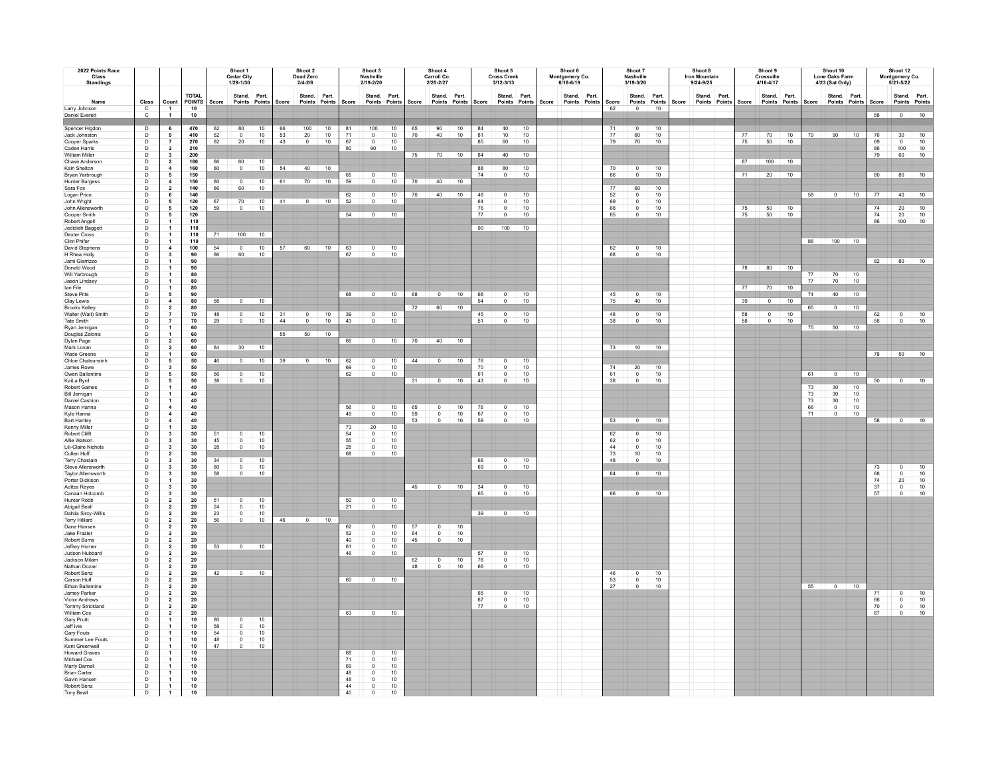| 2022 Points Race<br>Class<br><b>Standings</b> |                                                              |                                                              | Shoot 1<br><b>Cedar City</b><br>1/29-1/30                       |                                         |                                     |                                    |                 | Shoot 2<br>Dead Zero<br>$2/4 - 2/6$                                                                                                                                                                                                                                                                                                                      |                 |                                                     | Shoot 3<br>Nashville<br>2/19-2/20 |                 |          | Shoot 4<br>Carroll Co.<br>2/25-2/27                     |                 |                                                      | Shoot 5<br><b>Cross Creek</b><br>3/12-3/13 |                 |       | Shoot 6<br>Montgomery Co.<br>6/18-6/19  |                      | Shoot 7<br><b>Nashville</b><br>3/19-3/20 |                  |       | Shoot 8<br><b>Iron Mountain</b><br>9/24-9/25 |               |       | Shoot 9<br>Crossville<br>4/16-4/17 |                               |                                               | Shoot 10<br><b>Lone Oaks Farm</b><br>4/23 (Sat Only)       |                 |                                                           | Shoot 12<br>Montgomery Co.<br>5/21-5/22 |                                                             |
|-----------------------------------------------|--------------------------------------------------------------|--------------------------------------------------------------|-----------------------------------------------------------------|-----------------------------------------|-------------------------------------|------------------------------------|-----------------|----------------------------------------------------------------------------------------------------------------------------------------------------------------------------------------------------------------------------------------------------------------------------------------------------------------------------------------------------------|-----------------|-----------------------------------------------------|-----------------------------------|-----------------|----------|---------------------------------------------------------|-----------------|------------------------------------------------------|--------------------------------------------|-----------------|-------|-----------------------------------------|----------------------|------------------------------------------|------------------|-------|----------------------------------------------|---------------|-------|------------------------------------|-------------------------------|-----------------------------------------------|------------------------------------------------------------|-----------------|-----------------------------------------------------------|-----------------------------------------|-------------------------------------------------------------|
| Name                                          | Class                                                        | Count                                                        | <b>TOTAL</b><br>POINTS                                          | Score                                   | Stand, Part.<br>Points Points Score |                                    |                 | Stand. Part.<br>Points Points Score                                                                                                                                                                                                                                                                                                                      |                 |                                                     | Stand. Part.                      |                 |          | Stand. Part.<br>Points Points Score Points Points Score |                 |                                                      | Stand. Part.<br>Points Points              |                 | Score | Stand. Part.<br>Points Points<br>Points | Score                | Stand. Part.                             | Points Points    | Score | Stand. Part.                                 | Points Points | Score |                                    | Stand. Part.<br>Points Points | Score                                         | Stand. Part.<br>Points Points Score                        |                 |                                                           | Stand. Part.<br>Points Points           |                                                             |
| Larry Johnson                                 | $\mathbf C$                                                  | $\overline{1}$                                               | 10                                                              |                                         |                                     |                                    |                 |                                                                                                                                                                                                                                                                                                                                                          |                 |                                                     |                                   |                 |          |                                                         |                 |                                                      |                                            |                 |       |                                         | 62                   | $\overline{0}$                           | 10               |       |                                              |               |       |                                    |                               |                                               |                                                            |                 |                                                           |                                         |                                                             |
| Daniel Everett                                | $\mathbf{c}$                                                 | $\overline{1}$                                               | 10                                                              |                                         |                                     |                                    |                 |                                                                                                                                                                                                                                                                                                                                                          |                 |                                                     |                                   |                 |          |                                                         |                 |                                                      |                                            |                 |       |                                         |                      |                                          |                  |       |                                              |               |       |                                    |                               |                                               |                                                            |                 | 58                                                        | $\overline{0}$                          | 10                                                          |
| Spencer Higdon                                | $\mathsf{D}$                                                 | 6                                                            | 470                                                             | 62                                      | 80                                  | 10                                 | 66              | 100                                                                                                                                                                                                                                                                                                                                                      | 10              | 81                                                  | 100                               | 10              | 65       | 90                                                      | 10              | 84                                                   | 40                                         | 10              |       |                                         | 71                   | $\overline{0}$                           | 10               |       |                                              |               |       |                                    |                               |                                               |                                                            |                 |                                                           |                                         |                                                             |
| Jack Johnston                                 | $\mathsf D$                                                  | $\,$ 9 $\,$                                                  | 410                                                             | $\frac{52}{62}$                         | $\mathbb O$                         | $\frac{10}{10}$                    | $\frac{53}{43}$ | $\frac{20}{0}$                                                                                                                                                                                                                                                                                                                                           | $\frac{10}{10}$ | 71                                                  | $\mathfrak o$                     | $\frac{10}{10}$ | 70       | 40                                                      | 10              | $\frac{81}{85}$                                      | 10                                         | 10              |       |                                         | $77\,$               | $\frac{60}{70}$                          | $10\,$           |       |                                              |               | 77    | 70                                 | 10                            | 79                                            | 90                                                         | 10              | 76                                                        | 30                                      | 10                                                          |
| Cooper Sparks                                 |                                                              |                                                              | 270                                                             |                                         | 20                                  |                                    |                 |                                                                                                                                                                                                                                                                                                                                                          |                 | 67<br>80                                            | $^{\circ}$                        |                 |          |                                                         |                 |                                                      | 60                                         | 10              |       |                                         | 79                   |                                          | 10               |       |                                              |               | 75    | 50                                 | 10                            |                                               |                                                            |                 | 69                                                        | $\Omega$                                | $10$                                                        |
| Caden Harris<br><b>William Miller</b>         |                                                              |                                                              | 210<br>200                                                      |                                         |                                     |                                    |                 |                                                                                                                                                                                                                                                                                                                                                          |                 |                                                     | 90                                | 10              | 75       |                                                         | 70 10           | 84                                                   | 40                                         | 10              |       |                                         |                      |                                          |                  |       |                                              |               |       |                                    |                               |                                               |                                                            |                 | 86<br>79                                                  | 100<br>60                               | $\frac{10}{10}$                                             |
| Chase Anderson                                | $\begin{array}{c} \square \\ \square \\ \square \end{array}$ | $\begin{array}{c} 7 \\ 2 \\ 3 \\ 2 \end{array}$              | 180                                                             | 66                                      | 60                                  | $10$                               |                 |                                                                                                                                                                                                                                                                                                                                                          |                 |                                                     |                                   |                 |          |                                                         |                 |                                                      |                                            |                 |       |                                         |                      |                                          |                  |       |                                              |               |       | 87 100 10                          |                               |                                               |                                                            |                 |                                                           |                                         |                                                             |
| Kain Shelton                                  | $\mathsf D$                                                  | $\overline{4}$                                               | 160                                                             | 60                                      | $\Omega$                            | 10                                 |                 | 54 40 10                                                                                                                                                                                                                                                                                                                                                 |                 | 65                                                  |                                   |                 |          |                                                         |                 | 88<br>74                                             | $\begin{array}{c} 80 \\ 0 \end{array}$     | 10              |       |                                         | 70                   | 0<br>$\Omega$                            | $\frac{10}{10}$  |       |                                              |               |       |                                    |                               |                                               |                                                            |                 |                                                           |                                         |                                                             |
| Bryan Yarbrough<br><b>Hunter Burgess</b>      | $\mathsf D$<br>D                                             | ${\bf 5}$<br>$\,$ 4 $\,$                                     | 150<br>150                                                      | 60                                      | 0                                   | $10$                               | 61              | 70                                                                                                                                                                                                                                                                                                                                                       | 10              | 59                                                  |                                   | 10<br>10        | 70       | 40                                                      | 10              |                                                      |                                            | 10              |       |                                         | 66                   |                                          |                  |       |                                              |               | 71    | 20                                 | 10                            |                                               |                                                            |                 | 80                                                        | 80                                      | 10                                                          |
| Sara Fox                                      | $\mathsf D$                                                  | $\mathbf{2}$                                                 | 140                                                             | 66                                      | 60                                  | 10                                 |                 |                                                                                                                                                                                                                                                                                                                                                          |                 |                                                     |                                   |                 |          |                                                         |                 |                                                      |                                            |                 |       |                                         | 77                   | 60                                       | 10               |       |                                              |               |       |                                    |                               |                                               |                                                            |                 |                                                           |                                         |                                                             |
| Logan Price                                   | $_{\rm D}^{\rm D}$                                           | $\,$ 6                                                       | 140                                                             |                                         |                                     |                                    |                 | 41 0 10                                                                                                                                                                                                                                                                                                                                                  |                 | $\frac{62}{52}$                                     | $\Omega$                          | $10\,$          | 70       | 40                                                      | 10              | 46                                                   | $\overline{0}$<br>$\Omega$                 | 10              |       |                                         | 52<br>69<br>68<br>65 | $\circ$                                  | $\frac{10}{10}$  |       |                                              |               |       |                                    |                               |                                               | 58 0 10                                                    |                 | 77                                                        | 40                                      | $\overline{10}$                                             |
| John Wright<br>John Allensworth               | $\mathsf D$                                                  | ${\bf 5}$<br>${\bf 5}$                                       | 120<br>120                                                      | 67<br>59                                | 70<br>$^{\circ}$                    | 10<br>10                           |                 |                                                                                                                                                                                                                                                                                                                                                          |                 |                                                     |                                   | 10              |          |                                                         |                 | 64<br>${\bf 76}$                                     | 0                                          | 10<br>10        |       |                                         |                      | $\pmb{0}$<br>$\mathbf 0$                 | 10               |       |                                              |               | 75    |                                    | 10                            |                                               |                                                            |                 | 74                                                        | $20\,$                                  |                                                             |
| Cooper Smith                                  | D                                                            | ${\bf 5}$                                                    | 120                                                             |                                         |                                     |                                    |                 |                                                                                                                                                                                                                                                                                                                                                          |                 | 54                                                  | $\overline{0}$                    | 10              |          |                                                         |                 | 77                                                   | $\Omega$                                   | 10              |       |                                         |                      | $\Omega$                                 | 10 <sup>10</sup> |       |                                              |               | 75    | $\frac{50}{50}$                    | 10                            |                                               |                                                            |                 | 74                                                        | $20\,$                                  | $\frac{10}{10}$                                             |
| Robert Angell<br>Jedidiah Baggett             | $\mathsf D$                                                  | $\mathbf{1}$                                                 | 110<br>110                                                      |                                         |                                     |                                    |                 |                                                                                                                                                                                                                                                                                                                                                          |                 |                                                     |                                   |                 |          |                                                         |                 | 90                                                   | 100                                        | 10              |       |                                         |                      |                                          |                  |       |                                              |               |       |                                    |                               |                                               |                                                            |                 | 86                                                        | 100                                     |                                                             |
| <b>Dexter Cross</b>                           | $\begin{array}{c} \square \\ \square \\ \square \end{array}$ | $\overline{1}$<br>$\mathbf{1}$                               | 110                                                             | 71                                      | 100                                 | 10                                 |                 |                                                                                                                                                                                                                                                                                                                                                          |                 |                                                     |                                   |                 |          |                                                         |                 |                                                      |                                            |                 |       |                                         |                      |                                          |                  |       |                                              |               |       |                                    |                               |                                               |                                                            |                 |                                                           |                                         |                                                             |
| Clint Phifer                                  |                                                              | $\mathbf{1}$                                                 | 110                                                             |                                         |                                     |                                    |                 |                                                                                                                                                                                                                                                                                                                                                          |                 |                                                     |                                   |                 |          |                                                         |                 |                                                      |                                            |                 |       |                                         |                      |                                          |                  |       |                                              |               |       |                                    |                               | 86                                            | $100 - 10$                                                 |                 |                                                           |                                         |                                                             |
| David Stephens<br>H Rhea Holly                | $\mathsf D$                                                  | $\overline{4}$<br>$\mathbf 3$                                | 100<br>90                                                       | 54<br>66                                | $\overline{0}$<br>60                | 10<br>10                           |                 | 57 60 10                                                                                                                                                                                                                                                                                                                                                 |                 | 63<br>67                                            | $\frac{0}{0}$                     | 10<br>10        |          |                                                         |                 |                                                      |                                            |                 |       |                                         | 62<br>68             | $\frac{0}{0}$                            | $\frac{10}{10}$  |       |                                              |               |       |                                    |                               |                                               |                                                            |                 |                                                           |                                         |                                                             |
| Jami Giarrizzo                                | $\mathsf D$                                                  | $\overline{1}$                                               | 90                                                              |                                         |                                     |                                    |                 |                                                                                                                                                                                                                                                                                                                                                          |                 |                                                     |                                   |                 |          |                                                         |                 |                                                      |                                            |                 |       |                                         |                      |                                          |                  |       |                                              |               |       |                                    |                               |                                               |                                                            |                 | 82                                                        | 80 10                                   |                                                             |
| Donald Wood                                   | $\mathsf D$                                                  | $\overline{1}$                                               | 90                                                              |                                         |                                     |                                    |                 |                                                                                                                                                                                                                                                                                                                                                          |                 |                                                     |                                   |                 |          |                                                         |                 |                                                      |                                            |                 |       |                                         |                      |                                          |                  |       |                                              |               | 78    | 80                                 | 10                            |                                               |                                                            |                 |                                                           |                                         |                                                             |
| Will Yarbrough<br>Jason Lindsey               | $\begin{array}{c} \mathsf{D} \\ \mathsf{D} \end{array}$      | $\overline{1}$<br>$\mathbf{1}$                               | $\begin{array}{c} 80 \\ 80 \end{array}$                         |                                         |                                     |                                    |                 |                                                                                                                                                                                                                                                                                                                                                          |                 |                                                     |                                   |                 |          |                                                         |                 |                                                      |                                            |                 |       |                                         |                      |                                          |                  |       |                                              |               |       |                                    |                               | $\frac{77}{77}$                               | $\frac{70}{70}$                                            | $\frac{10}{10}$ |                                                           |                                         |                                                             |
| lan Fife                                      | $\mathsf D$                                                  | $\mathbf{1}$                                                 | 80                                                              |                                         |                                     |                                    |                 |                                                                                                                                                                                                                                                                                                                                                          |                 |                                                     |                                   |                 |          |                                                         |                 |                                                      |                                            |                 |       |                                         |                      |                                          |                  |       |                                              |               | 77    |                                    | 70 10                         |                                               |                                                            |                 |                                                           |                                         |                                                             |
| <b>Steve Pitts</b>                            | $\mathsf D$                                                  | ${\bf 5}$                                                    | 90                                                              |                                         |                                     |                                    |                 |                                                                                                                                                                                                                                                                                                                                                          |                 |                                                     | 68 0 10                           |                 |          | 68 0 10                                                 |                 | 66                                                   | $\begin{array}{c} 0 \\ 0 \end{array}$      | 10              |       |                                         | 45                   | $\overline{0}$<br>ш                      | 10               |       |                                              |               |       |                                    |                               |                                               | 74 40                                                      | 10              |                                                           |                                         |                                                             |
| Clay Lewis<br><b>Brooks Kelley</b>            | $\mathsf D$<br>$\mathsf D$                                   | $\,$ 4 $\,$                                                  | 80<br>80                                                        | 58                                      | $0$ 10                              |                                    |                 |                                                                                                                                                                                                                                                                                                                                                          |                 |                                                     |                                   |                 | 72       | 60                                                      | 10              | 54                                                   |                                            | 10              |       |                                         | 75                   | 40                                       | 10               |       |                                              |               | 39    | $\overline{0}$                     | 10                            | 65                                            | $\overline{0}$                                             | 10              |                                                           |                                         |                                                             |
| Walter (Walt) Smith                           | $\mathsf D$                                                  | $\begin{array}{c} 2 \\ 7 \\ 7 \\ 7 \end{array}$              | 70                                                              | 48                                      | $\circ$                             | 10                                 | 31              |                                                                                                                                                                                                                                                                                                                                                          |                 |                                                     | $^{\circ}$                        | 10              |          |                                                         |                 | 45                                                   | $\mathbf 0$                                | 10              |       |                                         | 48                   | 0                                        | 10               |       |                                              |               | 58    | $\mathsf 0$                        | 10                            |                                               |                                                            |                 | 62                                                        | $\circ$                                 | 10                                                          |
| <b>Tate Smith</b>                             |                                                              |                                                              | 70                                                              | 29                                      | $\Omega$                            | 10                                 | 44              | $\begin{array}{c}\n\hline\n0 \\ \hline\n0\n\end{array}$                                                                                                                                                                                                                                                                                                  | $\frac{10}{10}$ | $\frac{39}{43}$                                     | $\circ$                           | 10              |          |                                                         |                 | 51                                                   | $\mathbf 0$                                | 10              |       |                                         | 38                   | $\Omega$                                 | 10               |       |                                              |               | 58    | $\overline{0}$                     | 10                            |                                               |                                                            |                 | 58                                                        | $\circ$                                 | 10                                                          |
| Rvan Jemicar                                  |                                                              | $\mathbf{1}$                                                 | $\begin{array}{c} 60 \\ 60 \end{array}$                         |                                         |                                     |                                    |                 | 55 50 10                                                                                                                                                                                                                                                                                                                                                 |                 |                                                     |                                   |                 |          |                                                         |                 |                                                      |                                            |                 |       |                                         |                      |                                          |                  |       |                                              |               |       |                                    |                               | 75                                            | 50                                                         | $\overline{10}$ |                                                           |                                         |                                                             |
| Douglas Zelonis<br>Dylan Page                 | $\begin{array}{c} \square \\ \square \\ \square \end{array}$ | $\overline{1}$                                               | 60                                                              |                                         |                                     |                                    |                 |                                                                                                                                                                                                                                                                                                                                                          |                 |                                                     | 66 0 10                           |                 |          | 70 40 10                                                |                 |                                                      |                                            |                 |       |                                         |                      |                                          |                  |       |                                              |               |       |                                    |                               |                                               |                                                            |                 |                                                           |                                         |                                                             |
| Mark Lovan                                    | $\mathsf D$                                                  | $\frac{2}{2}$                                                | 60                                                              | 64                                      | $30 - 10$                           |                                    |                 |                                                                                                                                                                                                                                                                                                                                                          |                 |                                                     |                                   |                 |          |                                                         |                 |                                                      |                                            |                 |       |                                         | 73                   |                                          | $10$ 10          |       |                                              |               |       |                                    |                               |                                               |                                                            |                 |                                                           |                                         |                                                             |
| Wade Greene<br>Chloe Chaleunsinh              | $\mathsf D$<br>$\mathsf D$                                   | $\overline{1}$                                               | 60                                                              | 46                                      | $\mathbf{0}$                        | 10                                 | 39              | $\sim$ 0                                                                                                                                                                                                                                                                                                                                                 | 10              |                                                     |                                   | 10              |          |                                                         | 10              |                                                      |                                            |                 |       |                                         |                      |                                          |                  |       |                                              |               |       |                                    |                               |                                               |                                                            |                 | 78                                                        | 50                                      | $\overline{10}$                                             |
| James Rowe                                    |                                                              | $\begin{array}{c} 5 \\ 3 \\ 5 \\ 5 \end{array}$              | $\frac{50}{50}$<br>$\frac{50}{50}$                              |                                         |                                     |                                    |                 |                                                                                                                                                                                                                                                                                                                                                          |                 | 62<br>69                                            | $\circ$<br>$\Omega$               |                 | 44       | $\overline{0}$                                          |                 | 76<br>70                                             | $^{\circ}$<br>$\,$ 0 $\,$                  | 10              |       |                                         | 74                   |                                          |                  |       |                                              |               |       |                                    |                               |                                               |                                                            |                 |                                                           |                                         |                                                             |
| Owen Ballentine                               | $\overline{D}$                                               |                                                              |                                                                 | 56                                      | $\overline{0}$                      | $10\,$                             |                 |                                                                                                                                                                                                                                                                                                                                                          |                 | 62                                                  | $\Omega$                          | $\frac{10}{10}$ |          |                                                         |                 | 61                                                   | $\mathbf 0$                                | $\frac{10}{10}$ |       |                                         | 61                   | $_{\rm 0}^{20}$                          | $\frac{10}{10}$  |       |                                              |               |       |                                    |                               | 61                                            | $\Omega$                                                   | 10              |                                                           |                                         |                                                             |
| KaiLa Byrd<br><b>Robert Gaines</b>            | $\mathsf D$<br>$\mathsf D$                                   | $\overline{1}$                                               |                                                                 | 38                                      | $\sqrt{2}$                          | 10 <sup>1</sup>                    |                 |                                                                                                                                                                                                                                                                                                                                                          |                 |                                                     |                                   |                 | 31       |                                                         | $0 \t 10$       | 43                                                   | $\Omega$                                   | 10              |       |                                         | 38                   | $\Omega$                                 | 10               |       |                                              |               |       |                                    |                               |                                               |                                                            | 10              |                                                           | 50 0 10                                 |                                                             |
| <b>Bill Jernigan</b>                          | $\mathsf D$                                                  | $\overline{1}$                                               | 40<br>40                                                        |                                         |                                     |                                    |                 |                                                                                                                                                                                                                                                                                                                                                          |                 |                                                     |                                   |                 |          |                                                         |                 |                                                      |                                            |                 |       |                                         |                      |                                          |                  |       |                                              |               |       |                                    |                               | $73\,$<br>$73\,$                              | $\begin{array}{c} 30 \\ 30 \\ 30 \\ 0 \\ 0 \\ \end{array}$ | $10$            |                                                           |                                         |                                                             |
| Daniel Cashior                                | $\mathsf D$                                                  | $\mathbf{1}$                                                 | 40                                                              |                                         |                                     |                                    |                 |                                                                                                                                                                                                                                                                                                                                                          |                 |                                                     |                                   |                 |          |                                                         |                 |                                                      |                                            |                 |       |                                         |                      |                                          |                  |       |                                              |               |       |                                    |                               | $\begin{array}{r} 73 \\ 66 \\ 71 \end{array}$ |                                                            |                 |                                                           |                                         |                                                             |
| Mason Hanna<br>Kyle Hanna                     | $\mathsf D$                                                  | $\overline{4}$<br>$\overline{4}$                             | 40<br>40                                                        |                                         |                                     |                                    |                 |                                                                                                                                                                                                                                                                                                                                                          |                 | $\frac{56}{49}$                                     | $\Omega$                          | $\frac{10}{10}$ | 65<br>59 | $\begin{matrix} 0 \\ 0 \\ 0 \end{matrix}$               | $\frac{10}{10}$ |                                                      |                                            | $\frac{10}{10}$ |       |                                         |                      |                                          |                  |       |                                              |               |       |                                    |                               |                                               |                                                            | $\frac{10}{10}$ |                                                           |                                         |                                                             |
| <b>Bart Hartley</b>                           | $\begin{array}{c}\n0 \\ 0\n\end{array}$                      | $\,$ 4 $\,$                                                  |                                                                 |                                         |                                     |                                    |                 |                                                                                                                                                                                                                                                                                                                                                          |                 |                                                     |                                   |                 | 53       |                                                         |                 | $\begin{array}{r} 76 \\ 67 \\ 59 \end{array}$        | $\begin{matrix} 0 \\ 0 \\ 0 \end{matrix}$  |                 |       |                                         | 53                   | $\Omega$                                 | 10               |       |                                              |               |       |                                    |                               |                                               |                                                            |                 | 58                                                        | $\Omega$                                | 10                                                          |
| Kenny Miller                                  |                                                              | $\overline{\mathbf{1}}$                                      | $\frac{40}{30}$                                                 |                                         |                                     |                                    |                 |                                                                                                                                                                                                                                                                                                                                                          |                 | 73                                                  | $20\,$                            | 10              |          |                                                         |                 |                                                      |                                            |                 |       |                                         |                      |                                          |                  |       |                                              |               |       |                                    |                               |                                               |                                                            |                 |                                                           |                                         |                                                             |
| Robert Clifft                                 | $\mathsf D$<br>$\mathsf D$                                   |                                                              | 30<br>30                                                        | 51<br>45                                | 0                                   | $10$<br>10                         |                 |                                                                                                                                                                                                                                                                                                                                                          |                 |                                                     | $\mathbf 0$<br>$^{\circ}$         | $10$<br>10      |          |                                                         |                 |                                                      |                                            |                 |       |                                         | 62<br>$62\,$         | $\mathsf 0$<br>$\mathbf 0$               | 10<br>10         |       |                                              |               |       |                                    |                               |                                               |                                                            |                 |                                                           |                                         |                                                             |
| Allie Watson<br>Lili-Claire Nichols           |                                                              | $\begin{array}{c} 3 \\ 3 \\ 3 \\ 2 \\ 3 \\ 3 \\ \end{array}$ |                                                                 | 28                                      | $\mathsf 0$<br>$\Omega$             | 10                                 |                 |                                                                                                                                                                                                                                                                                                                                                          |                 | $\begin{array}{r} 54 \\ 55 \\ 28 \\ 68 \end{array}$ | $^{\circ}$                        | 10              |          |                                                         |                 |                                                      |                                            |                 |       |                                         | $44\,$               | $\mathbf 0$                              | $10$             |       |                                              |               |       |                                    |                               |                                               |                                                            |                 |                                                           |                                         |                                                             |
| Cullen Huff                                   | $\begin{array}{c} \square \\ \square \\ \square \end{array}$ |                                                              | $\begin{array}{r} 30 \\ 30 \\ 30 \\ 30 \\ 30 \\ 30 \end{array}$ |                                         |                                     |                                    |                 |                                                                                                                                                                                                                                                                                                                                                          |                 |                                                     | $\overline{0}$                    | 10              |          |                                                         |                 |                                                      |                                            |                 |       |                                         | $\frac{73}{48}$      | 10                                       | 10               |       |                                              |               |       |                                    |                               |                                               |                                                            |                 |                                                           |                                         |                                                             |
| Terry Chastain<br>Steve Allensworth           |                                                              |                                                              |                                                                 | $\frac{34}{60}$                         | 0<br>0                              | $\frac{10}{10}$                    |                 |                                                                                                                                                                                                                                                                                                                                                          |                 |                                                     |                                   |                 |          |                                                         |                 | $\frac{66}{69}$                                      | $\begin{matrix} 0 \\ 0 \end{matrix}$       | $\frac{10}{10}$ |       |                                         |                      | $\Omega$                                 | 10               |       |                                              |               |       |                                    |                               |                                               |                                                            |                 |                                                           |                                         |                                                             |
| Taylor Allensworth                            | $\mathsf D$                                                  |                                                              |                                                                 | 58                                      | $\Omega$                            |                                    |                 |                                                                                                                                                                                                                                                                                                                                                          |                 |                                                     |                                   |                 |          |                                                         |                 |                                                      |                                            |                 |       |                                         | 64                   | $\circ$                                  | 10               |       |                                              |               |       |                                    |                               |                                               |                                                            |                 | $\begin{array}{r} 73 \\ 68 \\ 74 \\ 37 \\ 57 \end{array}$ | 0<br>$\mathsf 0$                        | $\begin{array}{c}\n10 \\ 10 \\ 10 \\ 10 \\ 10\n\end{array}$ |
| Porter Dickison                               | $\mathsf D$                                                  | $\overline{1}$                                               | $30\,$                                                          |                                         |                                     |                                    |                 |                                                                                                                                                                                                                                                                                                                                                          |                 |                                                     |                                   |                 |          |                                                         |                 |                                                      |                                            |                 |       |                                         |                      |                                          |                  |       |                                              |               |       |                                    |                               |                                               |                                                            |                 |                                                           | $20\,$                                  |                                                             |
| Aditza Reyes<br>Canaan Holcomi                | $\mathsf D$<br>D                                             | $\overline{\mathbf{3}}$                                      | 30                                                              |                                         |                                     |                                    |                 |                                                                                                                                                                                                                                                                                                                                                          |                 |                                                     |                                   |                 |          | 45 0 10                                                 |                 | $\frac{34}{65}$                                      | $\begin{matrix} 0 \\ 0 \end{matrix}$       | 10<br>10        |       |                                         | 66                   | $\overline{0}$                           | 10               |       |                                              |               |       |                                    |                               |                                               |                                                            |                 |                                                           | $\circ$<br>$\Omega$                     |                                                             |
| Hunter Robb                                   | $\mathsf D$                                                  | $\begin{array}{c} 3 \\ 2 \\ 2 \end{array}$                   | $\begin{array}{c} 30 \\ 20 \\ 20 \end{array}$                   | 51                                      | $^{\circ}$                          |                                    |                 |                                                                                                                                                                                                                                                                                                                                                          |                 | $\frac{50}{21}$                                     | $^{\circ}$                        | 10              |          |                                                         |                 |                                                      |                                            |                 |       |                                         |                      |                                          |                  |       |                                              |               |       |                                    |                               |                                               |                                                            |                 |                                                           |                                         |                                                             |
| Abigail Beall                                 | $\mathsf D$                                                  |                                                              |                                                                 | $\bf{24}$                               | $\circ$                             | $\frac{10}{10}$                    |                 |                                                                                                                                                                                                                                                                                                                                                          |                 |                                                     | $\overline{0}$                    | 10              |          |                                                         |                 |                                                      |                                            |                 |       |                                         |                      |                                          |                  |       |                                              |               |       |                                    |                               |                                               |                                                            |                 |                                                           |                                         |                                                             |
| Dahlia Sircy-Willis<br><b>Terry Hilliard</b>  | $\mathsf D$<br>$\mathsf D$                                   | $2222222$                                                    | ${\bf 20}$<br>${\bf 20}$                                        | $\begin{array}{c} 23 \\ 56 \end{array}$ | $\mathsf 0$                         | $10$<br>10                         | 46              | $\begin{array}{ c c c c c } \hline \rule{0.2cm}{0.2cm} \rule{0.2cm}{0.2cm} \rule{0.2cm}{0.2cm} \rule{0.2cm}{0.2cm} \rule{0.2cm}{0.2cm} \rule{0.2cm}{0.2cm} \rule{0.2cm}{0.2cm} \rule{0.2cm}{0.2cm} \rule{0.2cm}{0.2cm} \rule{0.2cm}{0.2cm} \rule{0.2cm}{0.2cm} \rule{0.2cm}{0.2cm} \rule{0.2cm}{0.2cm} \rule{0.2cm}{0.2cm} \rule{0.2cm}{0.2cm} \rule{0.$ |                 |                                                     |                                   |                 |          |                                                         |                 |                                                      | 39 0 10                                    |                 |       |                                         |                      |                                          |                  |       |                                              |               |       |                                    |                               |                                               |                                                            |                 |                                                           |                                         |                                                             |
| Dane Hansen                                   | D                                                            |                                                              | 20                                                              |                                         |                                     |                                    |                 |                                                                                                                                                                                                                                                                                                                                                          |                 | 62                                                  | $^{\circ}$                        | $10$            | 57       | 0                                                       | 10              |                                                      |                                            |                 |       |                                         |                      |                                          |                  |       |                                              |               |       |                                    |                               |                                               |                                                            |                 |                                                           |                                         |                                                             |
| Jake Frazier                                  | $\mathsf D$                                                  |                                                              | ${\bf 20}$                                                      |                                         |                                     |                                    |                 |                                                                                                                                                                                                                                                                                                                                                          |                 | 52                                                  | $\Omega$                          | 10              | 64       | $\overline{0}$                                          | 10              |                                                      |                                            |                 |       |                                         |                      |                                          |                  |       |                                              |               |       |                                    |                               |                                               |                                                            |                 |                                                           |                                         |                                                             |
| Robert Burns<br>Jeffrey Horner                | $\begin{array}{c}\n0 \\ 0 \\ 0\n\end{array}$                 |                                                              | 20                                                              | 53                                      | $\Omega$                            | 10                                 |                 |                                                                                                                                                                                                                                                                                                                                                          |                 | 40<br>61                                            | $\Omega$<br>$\Omega$              | 10<br>10        | 45       | $\Omega$                                                | 10              |                                                      |                                            |                 |       |                                         |                      |                                          |                  |       |                                              |               |       |                                    |                               |                                               |                                                            |                 |                                                           |                                         |                                                             |
| Judson Hubbard                                |                                                              |                                                              | $\frac{20}{20}$                                                 |                                         |                                     |                                    |                 |                                                                                                                                                                                                                                                                                                                                                          |                 | 46                                                  |                                   | 10              |          |                                                         |                 |                                                      |                                            |                 |       |                                         |                      |                                          |                  |       |                                              |               |       |                                    |                               |                                               |                                                            |                 |                                                           |                                         |                                                             |
| Jackson Milam                                 | $\mathsf D$                                                  |                                                              | 20                                                              |                                         |                                     |                                    |                 |                                                                                                                                                                                                                                                                                                                                                          |                 |                                                     |                                   |                 | 62       | $\begin{matrix} 0 \\ 0 \end{matrix}$                    | $\frac{10}{10}$ | $\begin{array}{r} 57 \\ 76 \\ 66 \end{array}$        | $\frac{0}{0}$                              | $\frac{10}{10}$ |       |                                         |                      |                                          |                  |       |                                              |               |       |                                    |                               |                                               |                                                            |                 |                                                           |                                         |                                                             |
| Nathan Dozier<br>Robert Benz                  | $\mathsf D$<br>$\mathsf D$                                   |                                                              | 20<br>20                                                        | 42                                      | $\overline{0}$                      | 10                                 |                 |                                                                                                                                                                                                                                                                                                                                                          |                 |                                                     |                                   |                 | 48       |                                                         |                 |                                                      |                                            | 10              |       |                                         |                      | $\mathsf{o}\,$                           | 10               |       |                                              |               |       |                                    |                               |                                               |                                                            |                 |                                                           |                                         |                                                             |
| Carson Huff                                   | $\mathsf D$                                                  |                                                              | 20                                                              |                                         |                                     |                                    |                 |                                                                                                                                                                                                                                                                                                                                                          |                 | 60                                                  | $\overline{0}$                    | 10              |          |                                                         |                 |                                                      |                                            |                 |       |                                         | 53                   | $\mathbf 0$                              | $10\,$           |       |                                              |               |       |                                    |                               |                                               |                                                            |                 |                                                           |                                         |                                                             |
| Ethan Ballentine                              | $\mathsf D$                                                  | $\begin{array}{c} 2 \\ 2 \\ 2 \\ 2 \end{array}$              | 20                                                              |                                         |                                     |                                    |                 |                                                                                                                                                                                                                                                                                                                                                          |                 |                                                     |                                   |                 |          |                                                         |                 |                                                      |                                            |                 |       |                                         | 27                   | $\Omega$                                 | 10               |       |                                              |               |       |                                    |                               | 55                                            | $\overline{0}$                                             | 10              |                                                           |                                         |                                                             |
| Jamey Parker                                  | $\mathsf D$                                                  |                                                              | ${\bf 20}$                                                      |                                         |                                     |                                    |                 |                                                                                                                                                                                                                                                                                                                                                          |                 |                                                     |                                   |                 |          |                                                         |                 |                                                      |                                            | $\frac{10}{10}$ |       |                                         |                      |                                          |                  |       |                                              |               |       |                                    |                               |                                               |                                                            |                 |                                                           | 0                                       |                                                             |
| Victor Andrews<br>Tommy Strickland            | $\mathsf D$<br>$\mathsf D$                                   | $\mathbf{2}$                                                 | 20<br>${\bf 20}$                                                |                                         |                                     |                                    |                 |                                                                                                                                                                                                                                                                                                                                                          |                 |                                                     |                                   |                 |          |                                                         |                 | $\begin{array}{r} 65 \\ 67 \\ \hline 77 \end{array}$ | $\begin{matrix} 0 \\ 0 \\ 0 \end{matrix}$  | 10              |       |                                         |                      |                                          |                  |       |                                              |               |       |                                    |                               |                                               |                                                            |                 | $\begin{array}{r} 71 \\ 66 \\ 70 \\ 67 \end{array}$       | $\circ$<br>$\overline{0}$               | $\begin{array}{c} 10 \\ 10 \\ 10 \\ 10 \\ 10 \end{array}$   |
| William Cox                                   | $\mathsf D$                                                  | $\overline{2}$                                               | 20                                                              |                                         |                                     |                                    |                 |                                                                                                                                                                                                                                                                                                                                                          |                 | 63                                                  | $\overline{0}$                    | 10              |          |                                                         |                 |                                                      |                                            |                 |       |                                         |                      |                                          |                  |       |                                              |               |       |                                    |                               |                                               |                                                            |                 |                                                           | $\mathsf{O}$                            |                                                             |
| Gary Pruitt                                   | $\mathsf D$<br>$\mathsf D$                                   | $\overline{1}$                                               | 10                                                              | 60                                      | $^{\circ}$                          | $10$                               |                 |                                                                                                                                                                                                                                                                                                                                                          |                 |                                                     |                                   |                 |          |                                                         |                 |                                                      |                                            |                 |       |                                         |                      |                                          |                  |       |                                              |               |       |                                    |                               |                                               |                                                            |                 |                                                           |                                         |                                                             |
| Jeff Ivie<br>Gary Fouts                       |                                                              | $\mathbf{1}$<br>$\mathbf{1}$                                 | 10<br>10                                                        | $\frac{58}{54}$                         | $^{\circ}$<br>$\mathbf{0}$          | 10                                 |                 |                                                                                                                                                                                                                                                                                                                                                          |                 |                                                     |                                   |                 |          |                                                         |                 |                                                      |                                            |                 |       |                                         |                      |                                          |                  |       |                                              |               |       |                                    |                               |                                               |                                                            |                 |                                                           |                                         |                                                             |
| Summer Lee Fouts                              | $\overset{\mathsf{D}}{\mathsf{D}}$                           | $\mathbf{1}$                                                 | $10$                                                            |                                         | $\overline{0}$                      | $\frac{10}{10}$<br>$\frac{10}{10}$ |                 |                                                                                                                                                                                                                                                                                                                                                          |                 |                                                     |                                   |                 |          |                                                         |                 |                                                      |                                            |                 |       |                                         |                      |                                          |                  |       |                                              |               |       |                                    |                               |                                               |                                                            |                 |                                                           |                                         |                                                             |
| Kent Greenwell                                | $\mathsf D$                                                  | $\mathbf{1}$                                                 | 10                                                              | 47                                      | $\Omega$                            |                                    |                 |                                                                                                                                                                                                                                                                                                                                                          |                 |                                                     |                                   |                 |          |                                                         |                 |                                                      |                                            |                 |       |                                         |                      |                                          |                  |       |                                              |               |       |                                    |                               |                                               |                                                            |                 |                                                           |                                         |                                                             |
| <b>Howard Graves</b><br>Michael Cox           | D<br>$\mathsf D$                                             | $\overline{1}$<br>$\overline{1}$                             | 10<br>10                                                        |                                         |                                     |                                    |                 |                                                                                                                                                                                                                                                                                                                                                          |                 | 68<br>$71\,$                                        |                                   | 10<br>$10$      |          |                                                         |                 |                                                      |                                            |                 |       |                                         |                      |                                          |                  |       |                                              |               |       |                                    |                               |                                               |                                                            |                 |                                                           |                                         |                                                             |
| Marty Darnel                                  | $\mathsf D$                                                  | $\mathbf{1}$                                                 | 10                                                              |                                         |                                     |                                    |                 |                                                                                                                                                                                                                                                                                                                                                          |                 | 69                                                  |                                   | 10              |          |                                                         |                 |                                                      |                                            |                 |       |                                         |                      |                                          |                  |       |                                              |               |       |                                    |                               |                                               |                                                            |                 |                                                           |                                         |                                                             |
| <b>Brian Carter</b>                           | $\mathsf D$                                                  | $\mathbf{1}$                                                 | 10                                                              |                                         |                                     |                                    |                 |                                                                                                                                                                                                                                                                                                                                                          |                 |                                                     | $\Omega$                          | 10              |          |                                                         |                 |                                                      |                                            |                 |       |                                         |                      |                                          |                  |       |                                              |               |       |                                    |                               |                                               |                                                            |                 |                                                           |                                         |                                                             |
| Gavin Hansen<br>Robert Benz                   | $\mathsf{D}$                                                 | $\overline{1}$                                               | 10<br>10                                                        |                                         |                                     |                                    |                 |                                                                                                                                                                                                                                                                                                                                                          |                 | $48$<br>$48$<br>$44$<br>$40$                        | $^{\circ}$<br>$\mathsf 0$         | 10<br>10        |          |                                                         |                 |                                                      |                                            |                 |       |                                         |                      |                                          |                  |       |                                              |               |       |                                    |                               |                                               |                                                            |                 |                                                           |                                         |                                                             |
| <b>Tony Beall</b>                             | $\overline{D}$                                               | $\begin{array}{c} 1 \\ 1 \end{array}$                        | 10                                                              |                                         |                                     |                                    |                 |                                                                                                                                                                                                                                                                                                                                                          |                 |                                                     | $\Omega$                          | 10              |          |                                                         |                 |                                                      |                                            |                 |       |                                         |                      |                                          |                  |       |                                              |               |       |                                    |                               |                                               |                                                            |                 |                                                           |                                         |                                                             |